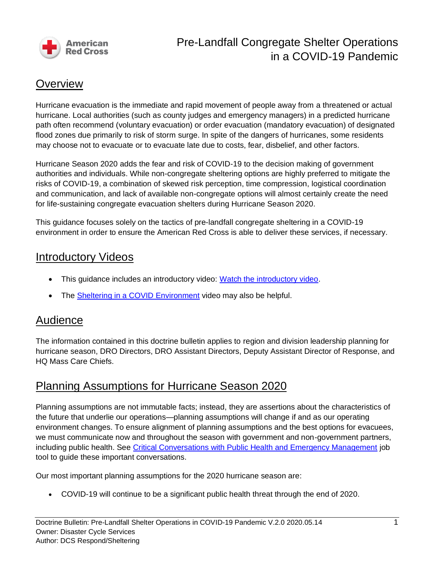

# Pre-Landfall Congregate Shelter Operations in a COVID-19 Pandemic

### **Overview**

Hurricane evacuation is the immediate and rapid movement of people away from a threatened or actual hurricane. Local authorities (such as county judges and emergency managers) in a predicted hurricane path often recommend (voluntary evacuation) or order evacuation (mandatory evacuation) of designated flood zones due primarily to risk of storm surge. In spite of the dangers of hurricanes, some residents may choose not to evacuate or to evacuate late due to costs, fear, disbelief, and other factors.

Hurricane Season 2020 adds the fear and risk of COVID-19 to the decision making of government authorities and individuals. While non-congregate sheltering options are highly preferred to mitigate the risks of COVID-19, a combination of skewed risk perception, time compression, logistical coordination and communication, and lack of available non-congregate options will almost certainly create the need for life-sustaining congregate evacuation shelters during Hurricane Season 2020.

This guidance focuses solely on the tactics of pre-landfall congregate sheltering in a COVID-19 environment in order to ensure the American Red Cross is able to deliver these services, if necessary.

### Introductory Videos

- This guidance includes an introductory video: [Watch the introductory video.](https://youtu.be/eMyxSWVg-yo)
- The [Sheltering in a COVID Environment](https://youtu.be/4hs2shdMce4) video may also be helpful.

#### Audience

The information contained in this doctrine bulletin applies to region and division leadership planning for hurricane season, DRO Directors, DRO Assistant Directors, Deputy Assistant Director of Response, and HQ Mass Care Chiefs.

### Planning Assumptions for Hurricane Season 2020

Planning assumptions are not immutable facts; instead, they are assertions about the characteristics of the future that underlie our operations—planning assumptions will change if and as our operating environment changes. To ensure alignment of planning assumptions and the best options for evacuees, we must communicate now and throughout the season with government and non-government partners, including public health. See [Critical Conversations with Public Health and Emergency Management](https://intranet.redcross.org/content/dam/redcross/documents/our_services/DisasterCycleServices/dcs-management/covid-19/COVID-19ConversationsLocalPublicHealthEmergencyManagement.pdf) job tool to guide these important conversations.

Our most important planning assumptions for the 2020 hurricane season are:

• COVID-19 will continue to be a significant public health threat through the end of 2020.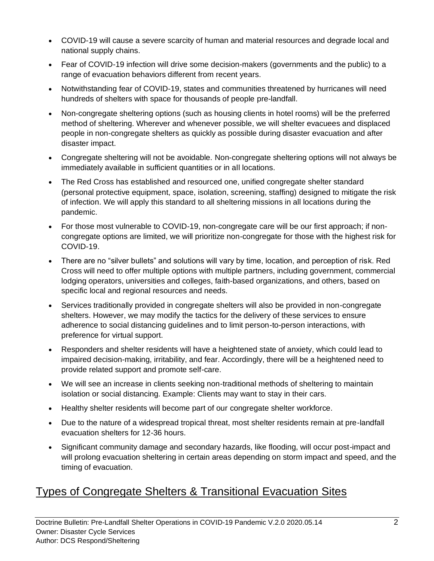- COVID-19 will cause a severe scarcity of human and material resources and degrade local and national supply chains.
- Fear of COVID-19 infection will drive some decision-makers (governments and the public) to a range of evacuation behaviors different from recent years.
- Notwithstanding fear of COVID-19, states and communities threatened by hurricanes will need hundreds of shelters with space for thousands of people pre-landfall.
- Non-congregate sheltering options (such as housing clients in hotel rooms) will be the preferred method of sheltering. Wherever and whenever possible, we will shelter evacuees and displaced people in non-congregate shelters as quickly as possible during disaster evacuation and after disaster impact.
- Congregate sheltering will not be avoidable. Non-congregate sheltering options will not always be immediately available in sufficient quantities or in all locations.
- The Red Cross has established and resourced one, unified congregate shelter standard (personal protective equipment, space, isolation, screening, staffing) designed to mitigate the risk of infection. We will apply this standard to all sheltering missions in all locations during the pandemic.
- For those most vulnerable to COVID-19, non-congregate care will be our first approach; if noncongregate options are limited, we will prioritize non-congregate for those with the highest risk for COVID-19.
- There are no "silver bullets" and solutions will vary by time, location, and perception of risk. Red Cross will need to offer multiple options with multiple partners, including government, commercial lodging operators, universities and colleges, faith-based organizations, and others, based on specific local and regional resources and needs.
- Services traditionally provided in congregate shelters will also be provided in non-congregate shelters. However, we may modify the tactics for the delivery of these services to ensure adherence to social distancing guidelines and to limit person-to-person interactions, with preference for virtual support.
- Responders and shelter residents will have a heightened state of anxiety, which could lead to impaired decision-making, irritability, and fear. Accordingly, there will be a heightened need to provide related support and promote self-care.
- We will see an increase in clients seeking non-traditional methods of sheltering to maintain isolation or social distancing. Example: Clients may want to stay in their cars.
- Healthy shelter residents will become part of our congregate shelter workforce.
- Due to the nature of a widespread tropical threat, most shelter residents remain at pre-landfall evacuation shelters for 12-36 hours.
- Significant community damage and secondary hazards, like flooding, will occur post-impact and will prolong evacuation sheltering in certain areas depending on storm impact and speed, and the timing of evacuation.

# Types of Congregate Shelters & Transitional Evacuation Sites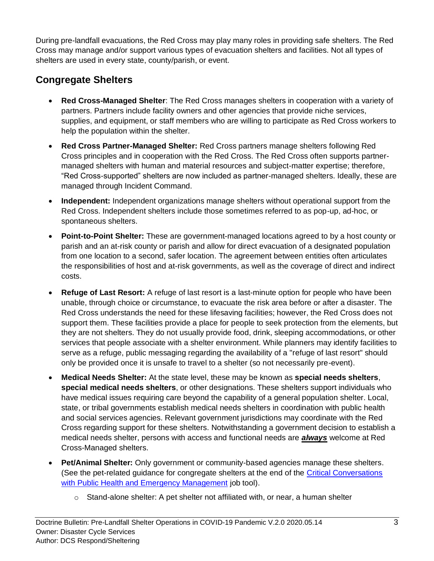During pre-landfall evacuations, the Red Cross may play many roles in providing safe shelters. The Red Cross may manage and/or support various types of evacuation shelters and facilities. Not all types of shelters are used in every state, county/parish, or event.

#### **Congregate Shelters**

- **Red Cross-Managed Shelter**: The Red Cross manages shelters in cooperation with a variety of partners. Partners include facility owners and other agencies that provide niche services, supplies, and equipment, or staff members who are willing to participate as Red Cross workers to help the population within the shelter.
- **Red Cross Partner-Managed Shelter:** Red Cross partners manage shelters following Red Cross principles and in cooperation with the Red Cross. The Red Cross often supports partnermanaged shelters with human and material resources and subject-matter expertise; therefore, "Red Cross-supported" shelters are now included as partner-managed shelters. Ideally, these are managed through Incident Command.
- **Independent:** Independent organizations manage shelters without operational support from the Red Cross. Independent shelters include those sometimes referred to as pop-up, ad-hoc, or spontaneous shelters.
- **Point-to-Point Shelter:** These are government-managed locations agreed to by a host county or parish and an at-risk county or parish and allow for direct evacuation of a designated population from one location to a second, safer location. The agreement between entities often articulates the responsibilities of host and at-risk governments, as well as the coverage of direct and indirect costs.
- **Refuge of Last Resort:** A refuge of last resort is a last-minute option for people who have been unable, through choice or circumstance, to evacuate the risk area before or after a disaster. The Red Cross understands the need for these lifesaving facilities; however, the Red Cross does not support them. These facilities provide a place for people to seek protection from the elements, but they are not shelters. They do not usually provide food, drink, sleeping accommodations, or other services that people associate with a shelter environment. While planners may identify facilities to serve as a refuge, public messaging regarding the availability of a "refuge of last resort" should only be provided once it is unsafe to travel to a shelter (so not necessarily pre-event).
- **Medical Needs Shelter:** At the state level, these may be known as **special needs shelters**, **special medical needs shelters**, or other designations. These shelters support individuals who have medical issues requiring care beyond the capability of a general population shelter. Local, state, or tribal governments establish medical needs shelters in coordination with public health and social services agencies. Relevant government jurisdictions may coordinate with the Red Cross regarding support for these shelters. Notwithstanding a government decision to establish a medical needs shelter, persons with access and functional needs are *always* welcome at Red Cross-Managed shelters.
- **Pet/Animal Shelter:** Only government or community-based agencies manage these shelters. (See the pet-related guidance for congregate shelters at the end of the [Critical Conversations](https://intranet.redcross.org/content/dam/redcross/documents/our_services/DisasterCycleServices/dcs-management/covid-19/COVID-19ConversationsLocalPublicHealthEmergencyManagement.pdf)  [with Public Health and Emergency Management](https://intranet.redcross.org/content/dam/redcross/documents/our_services/DisasterCycleServices/dcs-management/covid-19/COVID-19ConversationsLocalPublicHealthEmergencyManagement.pdf) job tool).
	- $\circ$  Stand-alone shelter: A pet shelter not affiliated with, or near, a human shelter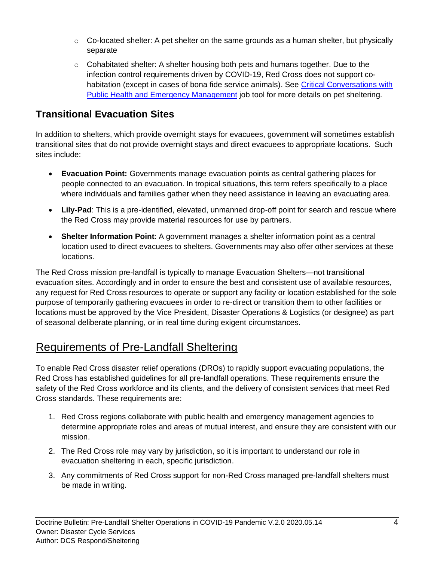- $\circ$  Co-located shelter: A pet shelter on the same grounds as a human shelter, but physically separate
- $\circ$  Cohabitated shelter: A shelter housing both pets and humans together. Due to the infection control requirements driven by COVID-19, Red Cross does not support cohabitation (except in cases of bona fide service animals). See [Critical Conversations with](https://intranet.redcross.org/content/dam/redcross/documents/our_services/DisasterCycleServices/dcs-management/covid-19/COVID-19ConversationsLocalPublicHealthEmergencyManagement.pdf)  [Public Health and Emergency Management](https://intranet.redcross.org/content/dam/redcross/documents/our_services/DisasterCycleServices/dcs-management/covid-19/COVID-19ConversationsLocalPublicHealthEmergencyManagement.pdf) job tool for more details on pet sheltering.

#### **Transitional Evacuation Sites**

In addition to shelters, which provide overnight stays for evacuees, government will sometimes establish transitional sites that do not provide overnight stays and direct evacuees to appropriate locations. Such sites include:

- **Evacuation Point:** Governments manage evacuation points as central gathering places for people connected to an evacuation. In tropical situations, this term refers specifically to a place where individuals and families gather when they need assistance in leaving an evacuating area.
- **Lily-Pad**: This is a pre-identified, elevated, unmanned drop-off point for search and rescue where the Red Cross may provide material resources for use by partners.
- **Shelter Information Point**: A government manages a shelter information point as a central location used to direct evacuees to shelters. Governments may also offer other services at these locations.

The Red Cross mission pre-landfall is typically to manage Evacuation Shelters—not transitional evacuation sites. Accordingly and in order to ensure the best and consistent use of available resources, any request for Red Cross resources to operate or support any facility or location established for the sole purpose of temporarily gathering evacuees in order to re-direct or transition them to other facilities or locations must be approved by the Vice President, Disaster Operations & Logistics (or designee) as part of seasonal deliberate planning, or in real time during exigent circumstances.

# Requirements of Pre-Landfall Sheltering

To enable Red Cross disaster relief operations (DROs) to rapidly support evacuating populations, the Red Cross has established guidelines for all pre-landfall operations. These requirements ensure the safety of the Red Cross workforce and its clients, and the delivery of consistent services that meet Red Cross standards. These requirements are:

- 1. Red Cross regions collaborate with public health and emergency management agencies to determine appropriate roles and areas of mutual interest, and ensure they are consistent with our mission.
- 2. The Red Cross role may vary by jurisdiction, so it is important to understand our role in evacuation sheltering in each, specific jurisdiction.
- 3. Any commitments of Red Cross support for non-Red Cross managed pre-landfall shelters must be made in writing.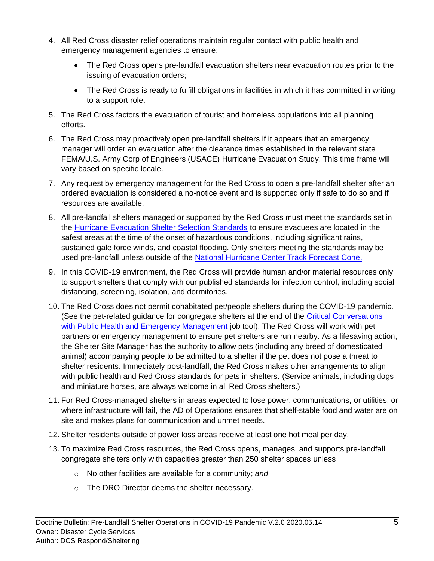- 4. All Red Cross disaster relief operations maintain regular contact with public health and emergency management agencies to ensure:
	- The Red Cross opens pre-landfall evacuation shelters near evacuation routes prior to the issuing of evacuation orders;
	- The Red Cross is ready to fulfill obligations in facilities in which it has committed in writing to a support role.
- 5. The Red Cross factors the evacuation of tourist and homeless populations into all planning efforts.
- 6. The Red Cross may proactively open pre-landfall shelters if it appears that an emergency manager will order an evacuation after the clearance times established in the relevant state FEMA/U.S. Army Corp of Engineers (USACE) Hurricane Evacuation Study. This time frame will vary based on specific locale.
- 7. Any request by emergency management for the Red Cross to open a pre-landfall shelter after an ordered evacuation is considered a no-notice event and is supported only if safe to do so and if resources are available.
- 8. All pre-landfall shelters managed or supported by the Red Cross must meet the standards set in the [Hurricane Evacuation Shelter Selection Standards](https://intranet.redcross.org/content/redcross/categories/our_services/disaster-cycle-services/dcs-capabilities/mass_care/sheltering/evacuation-shelters.html) to ensure evacuees are located in the safest areas at the time of the onset of hazardous conditions, including significant rains, sustained gale force winds, and coastal flooding. Only shelters meeting the standards may be used pre-landfall unless outside of the [National Hurricane Center](https://www.nhc.noaa.gov/aboutcone.shtml) Track Forecast Cone.
- 9. In this COVID-19 environment, the Red Cross will provide human and/or material resources only to support shelters that comply with our published standards for infection control, including social distancing, screening, isolation, and dormitories.
- 10. The Red Cross does not permit cohabitated pet/people shelters during the COVID-19 pandemic. (See the pet-related guidance for congregate shelters at the end of the Critical Conversations [with Public Health and Emergency Management](https://intranet.redcross.org/content/dam/redcross/documents/our_services/DisasterCycleServices/dcs-management/covid-19/COVID-19ConversationsLocalPublicHealthEmergencyManagement.pdf) job tool). The Red Cross will work with pet partners or emergency management to ensure pet shelters are run nearby. As a lifesaving action, the Shelter Site Manager has the authority to allow pets (including any breed of domesticated animal) accompanying people to be admitted to a shelter if the pet does not pose a threat to shelter residents. Immediately post-landfall, the Red Cross makes other arrangements to align with public health and Red Cross standards for pets in shelters. (Service animals, including dogs and miniature horses, are always welcome in all Red Cross shelters.)
- 11. For Red Cross-managed shelters in areas expected to lose power, communications, or utilities, or where infrastructure will fail, the AD of Operations ensures that shelf-stable food and water are on site and makes plans for communication and unmet needs.
- 12. Shelter residents outside of power loss areas receive at least one hot meal per day.
- 13. To maximize Red Cross resources, the Red Cross opens, manages, and supports pre-landfall congregate shelters only with capacities greater than 250 shelter spaces unless
	- o No other facilities are available for a community; *and*
	- o The DRO Director deems the shelter necessary.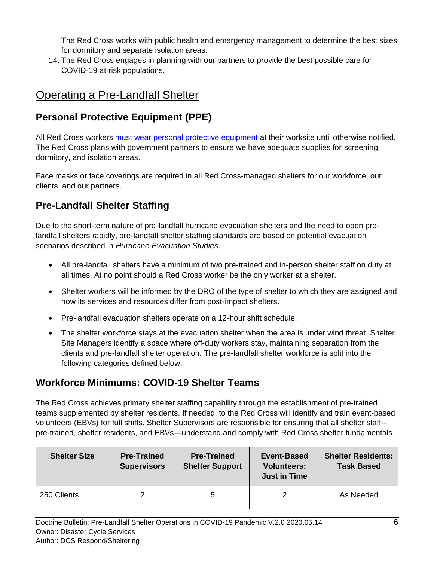The Red Cross works with public health and emergency management to determine the best sizes for dormitory and separate isolation areas.

14. The Red Cross engages in planning with our partners to provide the best possible care for COVID-19 at-risk populations.

# Operating a Pre-Landfall Shelter

#### **Personal Protective Equipment (PPE)**

All Red Cross workers [must wear personal protective equipment](https://intranet.redcross.org/content/dam/redcross/documents/our_services/DisasterCycleServices/dcs-management/covid-19/DisasterFragmentaryOrder001-20-BCOVIDMasksRespirators.pdf) at their worksite until otherwise notified. The Red Cross plans with government partners to ensure we have adequate supplies for screening, dormitory, and isolation areas.

Face masks or face coverings are required in all Red Cross-managed shelters for our workforce, our clients, and our partners.

#### **Pre-Landfall Shelter Staffing**

Due to the short-term nature of pre-landfall hurricane evacuation shelters and the need to open prelandfall shelters rapidly, pre-landfall shelter staffing standards are based on potential evacuation scenarios described in *Hurricane Evacuation Studies*.

- All pre-landfall shelters have a minimum of two pre-trained and in-person shelter staff on duty at all times. At no point should a Red Cross worker be the only worker at a shelter.
- Shelter workers will be informed by the DRO of the type of shelter to which they are assigned and how its services and resources differ from post-impact shelters.
- Pre-landfall evacuation shelters operate on a 12-hour shift schedule.
- The shelter workforce stays at the evacuation shelter when the area is under wind threat. Shelter Site Managers identify a space where off-duty workers stay, maintaining separation from the clients and pre-landfall shelter operation. The pre-landfall shelter workforce is split into the following categories defined below.

#### **Workforce Minimums: COVID-19 Shelter Teams**

The Red Cross achieves primary shelter staffing capability through the establishment of pre-trained teams supplemented by shelter residents. If needed, to the Red Cross will identify and train event-based volunteers (EBVs) for full shifts. Shelter Supervisors are responsible for ensuring that all shelter staff- pre-trained, shelter residents, and EBVs—understand and comply with Red Cross shelter fundamentals.

| <b>Shelter Size</b> | <b>Pre-Trained</b><br><b>Supervisors</b> | <b>Pre-Trained</b><br><b>Shelter Support</b> | Event-Based<br><b>Volunteers:</b><br><b>Just in Time</b> | <b>Shelter Residents:</b><br><b>Task Based</b> |
|---------------------|------------------------------------------|----------------------------------------------|----------------------------------------------------------|------------------------------------------------|
| 250 Clients         | $\mathcal{P}$                            | ა                                            |                                                          | As Needed                                      |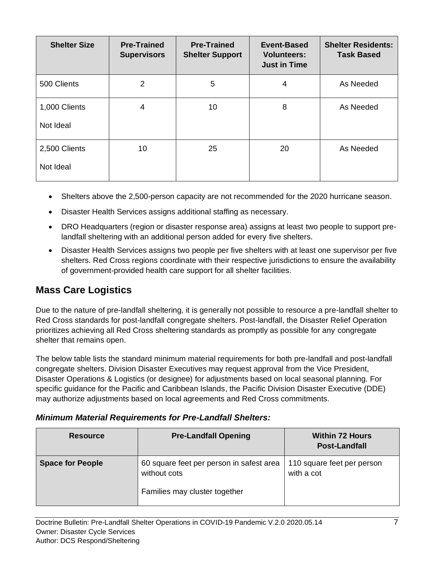| <b>Shelter Size</b>        | <b>Pre-Trained</b><br><b>Supervisors</b> | <b>Pre-Trained</b><br><b>Shelter Support</b> | <b>Event-Based</b><br><b>Volunteers:</b><br><b>Just in Time</b> | <b>Shelter Residents:</b><br><b>Task Based</b> |
|----------------------------|------------------------------------------|----------------------------------------------|-----------------------------------------------------------------|------------------------------------------------|
| 500 Clients                | 2                                        | 5                                            | 4                                                               | As Needed                                      |
| 1,000 Clients<br>Not Ideal | 4                                        | 10                                           | 8                                                               | As Needed                                      |
| 2,500 Clients<br>Not Ideal | 10                                       | 25                                           | 20                                                              | As Needed                                      |

- Shelters above the 2,500-person capacity are not recommended for the 2020 hurricane season.
- Disaster Health Services assigns additional staffing as necessary.
- DRO Headquarters (region or disaster response area) assigns at least two people to support prelandfall sheltering with an additional person added for every five shelters.
- Disaster Health Services assigns two people per five shelters with at least one supervisor per five shelters. Red Cross regions coordinate with their respective jurisdictions to ensure the availability of government-provided health care support for all shelter facilities.

#### **Mass Care Logistics**

Due to the nature of pre-landfall sheltering, it is generally not possible to resource a pre-landfall shelter to Red Cross standards for post-landfall congregate shelters. Post-landfall, the Disaster Relief Operation prioritizes achieving all Red Cross sheltering standards as promptly as possible for any congregate shelter that remains open.

The below table lists the standard minimum material requirements for both pre-landfall and post-landfall congregate shelters. Division Disaster Executives may request approval from the Vice President, Disaster Operations & Logistics (or designee) for adjustments based on local seasonal planning. For specific guidance for the Pacific and Caribbean Islands, the Pacific Division Disaster Executive (DDE) may authorize adjustments based on local agreements and Red Cross commitments.

#### *Minimum Material Requirements for Pre-Landfall Shelters:*

| <b>Resource</b>         | <b>Pre-Landfall Opening</b>                                                               | <b>Within 72 Hours</b><br><b>Post-Landfall</b> |
|-------------------------|-------------------------------------------------------------------------------------------|------------------------------------------------|
| <b>Space for People</b> | 60 square feet per person in safest area<br>without cots<br>Families may cluster together | 110 square feet per person<br>with a cot       |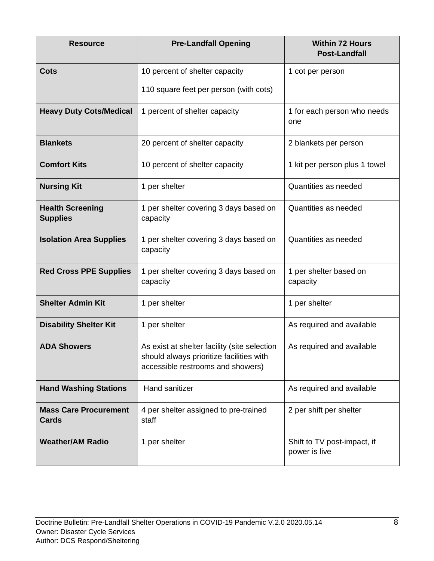| <b>Resource</b>                              | <b>Pre-Landfall Opening</b>                                                                                                   | <b>Within 72 Hours</b><br><b>Post-Landfall</b> |
|----------------------------------------------|-------------------------------------------------------------------------------------------------------------------------------|------------------------------------------------|
| <b>Cots</b>                                  | 10 percent of shelter capacity                                                                                                | 1 cot per person                               |
|                                              | 110 square feet per person (with cots)                                                                                        |                                                |
| <b>Heavy Duty Cots/Medical</b>               | 1 percent of shelter capacity                                                                                                 | 1 for each person who needs<br>one             |
| <b>Blankets</b>                              | 20 percent of shelter capacity                                                                                                | 2 blankets per person                          |
| <b>Comfort Kits</b>                          | 10 percent of shelter capacity                                                                                                | 1 kit per person plus 1 towel                  |
| <b>Nursing Kit</b>                           | 1 per shelter                                                                                                                 | Quantities as needed                           |
| <b>Health Screening</b><br><b>Supplies</b>   | 1 per shelter covering 3 days based on<br>capacity                                                                            | Quantities as needed                           |
| <b>Isolation Area Supplies</b>               | 1 per shelter covering 3 days based on<br>capacity                                                                            | Quantities as needed                           |
| <b>Red Cross PPE Supplies</b>                | 1 per shelter covering 3 days based on<br>capacity                                                                            | 1 per shelter based on<br>capacity             |
| <b>Shelter Admin Kit</b>                     | 1 per shelter                                                                                                                 | 1 per shelter                                  |
| <b>Disability Shelter Kit</b>                | 1 per shelter                                                                                                                 | As required and available                      |
| <b>ADA Showers</b>                           | As exist at shelter facility (site selection<br>should always prioritize facilities with<br>accessible restrooms and showers) | As required and available                      |
| <b>Hand Washing Stations</b>                 | <b>Hand sanitizer</b>                                                                                                         | As required and available                      |
| <b>Mass Care Procurement</b><br><b>Cards</b> | 4 per shelter assigned to pre-trained<br>staff                                                                                | 2 per shift per shelter                        |
| <b>Weather/AM Radio</b>                      | 1 per shelter                                                                                                                 | Shift to TV post-impact, if<br>power is live   |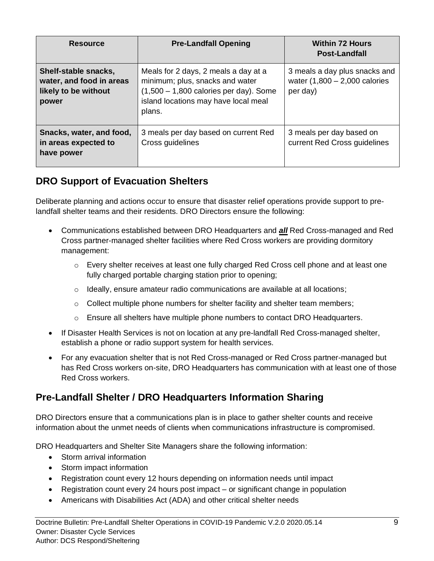| <b>Resource</b>                                                                   | <b>Pre-Landfall Opening</b>                                                                                                                                           | <b>Within 72 Hours</b><br><b>Post-Landfall</b>                               |
|-----------------------------------------------------------------------------------|-----------------------------------------------------------------------------------------------------------------------------------------------------------------------|------------------------------------------------------------------------------|
| Shelf-stable snacks,<br>water, and food in areas<br>likely to be without<br>power | Meals for 2 days, 2 meals a day at a<br>minimum; plus, snacks and water<br>$(1,500 - 1,800$ calories per day). Some<br>island locations may have local meal<br>plans. | 3 meals a day plus snacks and<br>water $(1,800 - 2,000$ calories<br>per day) |
| Snacks, water, and food,<br>in areas expected to<br>have power                    | 3 meals per day based on current Red<br>Cross guidelines                                                                                                              | 3 meals per day based on<br>current Red Cross guidelines                     |

#### **DRO Support of Evacuation Shelters**

Deliberate planning and actions occur to ensure that disaster relief operations provide support to prelandfall shelter teams and their residents. DRO Directors ensure the following:

- Communications established between DRO Headquarters and *all* Red Cross-managed and Red Cross partner-managed shelter facilities where Red Cross workers are providing dormitory management:
	- o Every shelter receives at least one fully charged Red Cross cell phone and at least one fully charged portable charging station prior to opening;
	- $\circ$  Ideally, ensure amateur radio communications are available at all locations;
	- o Collect multiple phone numbers for shelter facility and shelter team members;
	- $\circ$  Ensure all shelters have multiple phone numbers to contact DRO Headquarters.
- If Disaster Health Services is not on location at any pre-landfall Red Cross-managed shelter, establish a phone or radio support system for health services.
- For any evacuation shelter that is not Red Cross-managed or Red Cross partner-managed but has Red Cross workers on-site, DRO Headquarters has communication with at least one of those Red Cross workers.

#### **Pre-Landfall Shelter / DRO Headquarters Information Sharing**

DRO Directors ensure that a communications plan is in place to gather shelter counts and receive information about the unmet needs of clients when communications infrastructure is compromised.

DRO Headquarters and Shelter Site Managers share the following information:

- Storm arrival information
- Storm impact information
- Registration count every 12 hours depending on information needs until impact
- Registration count every 24 hours post impact or significant change in population
- Americans with Disabilities Act (ADA) and other critical shelter needs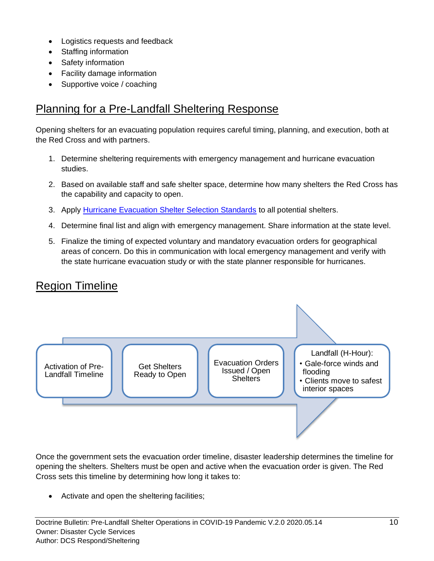- Logistics requests and feedback
- Staffing information
- Safety information
- Facility damage information
- Supportive voice / coaching

## Planning for a Pre-Landfall Sheltering Response

Opening shelters for an evacuating population requires careful timing, planning, and execution, both at the Red Cross and with partners.

- 1. Determine sheltering requirements with emergency management and hurricane evacuation studies.
- 2. Based on available staff and safe shelter space, determine how many shelters the Red Cross has the capability and capacity to open.
- 3. Apply [Hurricane Evacuation Shelter Selection Standards](https://intranet.redcross.org/content/redcross/categories/our_services/disaster-cycle-services/dcs-capabilities/mass_care/sheltering/evacuation-shelters.html) to all potential shelters.
- 4. Determine final list and align with emergency management. Share information at the state level.
- 5. Finalize the timing of expected voluntary and mandatory evacuation orders for geographical areas of concern. Do this in communication with local emergency management and verify with the state hurricane evacuation study or with the state planner responsible for hurricanes.

## Region Timeline



Once the government sets the evacuation order timeline, disaster leadership determines the timeline for opening the shelters. Shelters must be open and active when the evacuation order is given. The Red Cross sets this timeline by determining how long it takes to:

• Activate and open the sheltering facilities;